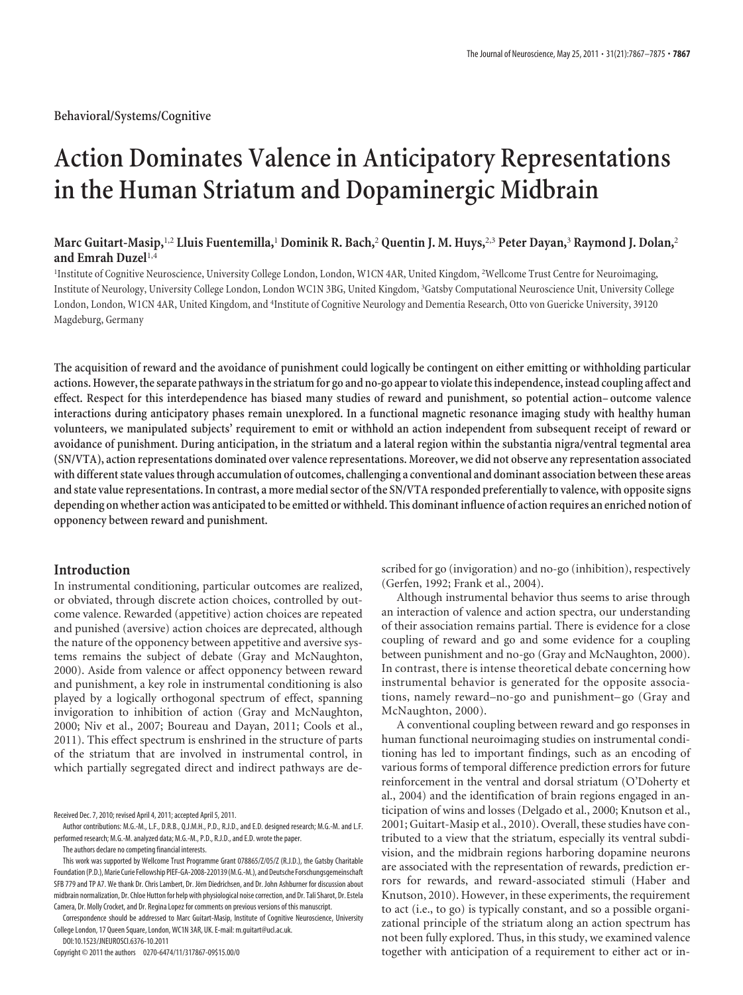# **Action Dominates Valence in Anticipatory Representations in the Human Striatum and Dopaminergic Midbrain**

# **Marc Guitart-Masip,**1,2 **Lluis Fuentemilla,**<sup>1</sup> **Dominik R. Bach,**<sup>2</sup> **Quentin J. M. Huys,**2,3 **Peter Dayan,**<sup>3</sup> **Raymond J. Dolan,**<sup>2</sup> **and Emrah Duzel**1,4

<sup>1</sup>Institute of Cognitive Neuroscience, University College London, London, W1CN 4AR, United Kingdom, <sup>2</sup>Wellcome Trust Centre for Neuroimaging, Institute of Neurology, University College London, London WC1N 3BG, United Kingdom, <sup>3</sup> Gatsby Computational Neuroscience Unit, University College London, London, W1CN 4AR, United Kingdom, and <sup>4</sup>Institute of Cognitive Neurology and Dementia Research, Otto von Guericke University, 39120 Magdeburg, Germany

**The acquisition of reward and the avoidance of punishment could logically be contingent on either emitting or withholding particular** actions. However, the separate pathways in the striatum for go and no-go appear to violate this independence, instead coupling affect and **effect. Respect for this interdependence has biased many studies of reward and punishment, so potential action– outcome valence interactions during anticipatory phases remain unexplored. In a functional magnetic resonance imaging study with healthy human volunteers, we manipulated subjects' requirement to emit or withhold an action independent from subsequent receipt of reward or avoidance of punishment. During anticipation, in the striatum and a lateral region within the substantia nigra/ventral tegmental area (SN/VTA), action representations dominated over valence representations. Moreover, we did not observe any representation associated with different state values through accumulation of outcomes, challenging a conventional and dominant association between these areas and state value representations. In contrast, a more medial sector of the SN/VTA responded preferentially to valence, with opposite signs** depending on whether action was anticipated to be emitted or withheld. This dominant influence of action requires an enriched notion of **opponency between reward and punishment.**

# **Introduction**

In instrumental conditioning, particular outcomes are realized, or obviated, through discrete action choices, controlled by outcome valence. Rewarded (appetitive) action choices are repeated and punished (aversive) action choices are deprecated, although the nature of the opponency between appetitive and aversive systems remains the subject of debate (Gray and McNaughton, 2000). Aside from valence or affect opponency between reward and punishment, a key role in instrumental conditioning is also played by a logically orthogonal spectrum of effect, spanning invigoration to inhibition of action (Gray and McNaughton, 2000; Niv et al., 2007; Boureau and Dayan, 2011; Cools et al., 2011). This effect spectrum is enshrined in the structure of parts of the striatum that are involved in instrumental control, in which partially segregated direct and indirect pathways are de-

Correspondence should be addressed to Marc Guitart-Masip, Institute of Cognitive Neuroscience, University College London, 17 Queen Square, London, WC1N 3AR, UK. E-mail: m.guitart@ucl.ac.uk.

DOI:10.1523/JNEUROSCI.6376-10.2011

Copyright © 2011 the authors 0270-6474/11/317867-09\$15.00/0

scribed for go (invigoration) and no-go (inhibition), respectively (Gerfen, 1992; Frank et al., 2004).

Although instrumental behavior thus seems to arise through an interaction of valence and action spectra, our understanding of their association remains partial. There is evidence for a close coupling of reward and go and some evidence for a coupling between punishment and no-go (Gray and McNaughton, 2000). In contrast, there is intense theoretical debate concerning how instrumental behavior is generated for the opposite associations, namely reward–no-go and punishment– go (Gray and McNaughton, 2000).

A conventional coupling between reward and go responses in human functional neuroimaging studies on instrumental conditioning has led to important findings, such as an encoding of various forms of temporal difference prediction errors for future reinforcement in the ventral and dorsal striatum (O'Doherty et al., 2004) and the identification of brain regions engaged in anticipation of wins and losses (Delgado et al., 2000; Knutson et al., 2001; Guitart-Masip et al., 2010). Overall, these studies have contributed to a view that the striatum, especially its ventral subdivision, and the midbrain regions harboring dopamine neurons are associated with the representation of rewards, prediction errors for rewards, and reward-associated stimuli (Haber and Knutson, 2010). However, in these experiments, the requirement to act (i.e., to go) is typically constant, and so a possible organizational principle of the striatum along an action spectrum has not been fully explored. Thus, in this study, we examined valence together with anticipation of a requirement to either act or in-

Received Dec. 7, 2010; revised April 4, 2011; accepted April 5, 2011.

Author contributions: M.G.-M., L.F., D.R.B., Q.J.M.H., P.D., R.J.D., and E.D. designed research; M.G.-M. and L.F. performed research; M.G.-M. analyzed data; M.G.-M., P.D., R.J.D., and E.D. wrote the paper.

The authors declare no competing financial interests.

This work was supported by Wellcome Trust Programme Grant 078865/Z/05/Z (R.J.D.), the Gatsby Charitable Foundation (P.D.), Marie Curie Fellowship PIEF-GA-2008-220139 (M.G.-M.), and Deutsche Forschungsgemeinschaft SFB 779 and TP A7. We thank Dr. Chris Lambert, Dr. Jörn Diedrichsen, and Dr. John Ashburner for discussion about midbrain normalization, Dr. Chloe Hutton for help with physiological noise correction, and Dr. Tali Sharot, Dr. Estela Camera, Dr. Molly Crocket, and Dr. Regina Lopez for comments on previous versions of this manuscript.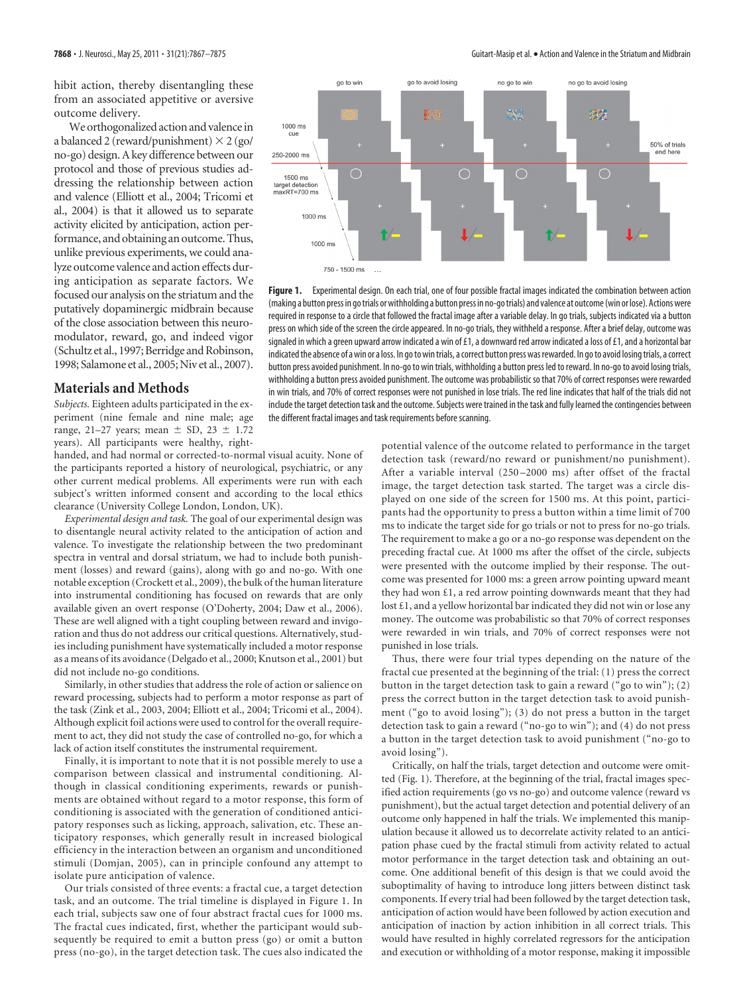hibit action, thereby disentangling these from an associated appetitive or aversive outcome delivery.

We orthogonalized action and valence in a balanced 2 (reward/punishment)  $\times$  2 (go/ no-go) design. A key difference between our protocol and those of previous studies addressing the relationship between action and valence (Elliott et al., 2004; Tricomi et al., 2004) is that it allowed us to separate activity elicited by anticipation, action performance, and obtaining an outcome. Thus, unlike previous experiments, we could analyze outcome valence and action effects during anticipation as separate factors. We focused our analysis on the striatum and the putatively dopaminergic midbrain because of the close association between this neuromodulator, reward, go, and indeed vigor (Schultz et al., 1997; Berridge and Robinson, 1998; Salamone et al., 2005; Niv et al., 2007).

## **Materials and Methods**

*Subjects.* Eighteen adults participated in the experiment (nine female and nine male; age range, 21–27 years; mean  $\pm$  SD, 23  $\pm$  1.72 years). All participants were healthy, right-

handed, and had normal or corrected-to-normal visual acuity. None of the participants reported a history of neurological, psychiatric, or any other current medical problems. All experiments were run with each subject's written informed consent and according to the local ethics clearance (University College London, London, UK).

*Experimental design and task.* The goal of our experimental design was to disentangle neural activity related to the anticipation of action and valence. To investigate the relationship between the two predominant spectra in ventral and dorsal striatum, we had to include both punishment (losses) and reward (gains), along with go and no-go. With one notable exception (Crockett et al., 2009), the bulk of the human literature into instrumental conditioning has focused on rewards that are only available given an overt response (O'Doherty, 2004; Daw et al., 2006). These are well aligned with a tight coupling between reward and invigoration and thus do not address our critical questions. Alternatively, studies including punishment have systematically included a motor response as a means of its avoidance (Delgado et al., 2000; Knutson et al., 2001) but did not include no-go conditions.

Similarly, in other studies that address the role of action or salience on reward processing, subjects had to perform a motor response as part of the task (Zink et al., 2003, 2004; Elliott et al., 2004; Tricomi et al., 2004). Although explicit foil actions were used to control for the overall requirement to act, they did not study the case of controlled no-go, for which a lack of action itself constitutes the instrumental requirement.

Finally, it is important to note that it is not possible merely to use a comparison between classical and instrumental conditioning. Although in classical conditioning experiments, rewards or punishments are obtained without regard to a motor response, this form of conditioning is associated with the generation of conditioned anticipatory responses such as licking, approach, salivation, etc. These anticipatory responses, which generally result in increased biological efficiency in the interaction between an organism and unconditioned stimuli (Domjan, 2005), can in principle confound any attempt to isolate pure anticipation of valence.

Our trials consisted of three events: a fractal cue, a target detection task, and an outcome. The trial timeline is displayed in Figure 1. In each trial, subjects saw one of four abstract fractal cues for 1000 ms. The fractal cues indicated, first, whether the participant would subsequently be required to emit a button press (go) or omit a button press (no-go), in the target detection task. The cues also indicated the



**Figure 1.** Experimental design. On each trial, one of four possible fractal images indicated the combination between action (making a button press in gotrials or withholding a button press in no-gotrials) and valence at outcome(win or lose). Actions were required in response to a circle that followed the fractal image after a variable delay. In go trials, subjects indicated via a button press on which side of the screen the circle appeared. In no-go trials, they withheld a response. After a brief delay, outcome was signaled in which a green upward arrow indicated a win of £1, a downward red arrow indicated a loss of £1, and a horizontal bar indicated the absence of a win or a loss. In go to win trials, a correct button press was rewarded. In go to avoid losing trials, a correct button press avoided punishment. In no-go to win trials, withholding a button press led to reward. In no-go to avoid losing trials, withholding a button press avoided punishment. The outcome was probabilistic so that 70% of correct responses were rewarded in win trials, and 70% of correct responses were not punished in lose trials. The red line indicates that half of the trials did not include the target detection task and the outcome. Subjects were trained in the task and fully learned the contingencies between the different fractal images and task requirements before scanning.

potential valence of the outcome related to performance in the target detection task (reward/no reward or punishment/no punishment). After a variable interval (250 –2000 ms) after offset of the fractal image, the target detection task started. The target was a circle displayed on one side of the screen for 1500 ms. At this point, participants had the opportunity to press a button within a time limit of 700 ms to indicate the target side for go trials or not to press for no-go trials. The requirement to make a go or a no-go response was dependent on the preceding fractal cue. At 1000 ms after the offset of the circle, subjects were presented with the outcome implied by their response. The outcome was presented for 1000 ms: a green arrow pointing upward meant they had won £1, a red arrow pointing downwards meant that they had lost £1, and a yellow horizontal bar indicated they did not win or lose any money. The outcome was probabilistic so that 70% of correct responses were rewarded in win trials, and 70% of correct responses were not punished in lose trials.

Thus, there were four trial types depending on the nature of the fractal cue presented at the beginning of the trial: (1) press the correct button in the target detection task to gain a reward ("go to win"); (2) press the correct button in the target detection task to avoid punishment ("go to avoid losing"); (3) do not press a button in the target detection task to gain a reward ("no-go to win"); and (4) do not press a button in the target detection task to avoid punishment ("no-go to avoid losing").

Critically, on half the trials, target detection and outcome were omitted (Fig. 1). Therefore, at the beginning of the trial, fractal images specified action requirements (go vs no-go) and outcome valence (reward vs punishment), but the actual target detection and potential delivery of an outcome only happened in half the trials. We implemented this manipulation because it allowed us to decorrelate activity related to an anticipation phase cued by the fractal stimuli from activity related to actual motor performance in the target detection task and obtaining an outcome. One additional benefit of this design is that we could avoid the suboptimality of having to introduce long jitters between distinct task components. If every trial had been followed by the target detection task, anticipation of action would have been followed by action execution and anticipation of inaction by action inhibition in all correct trials. This would have resulted in highly correlated regressors for the anticipation and execution or withholding of a motor response, making it impossible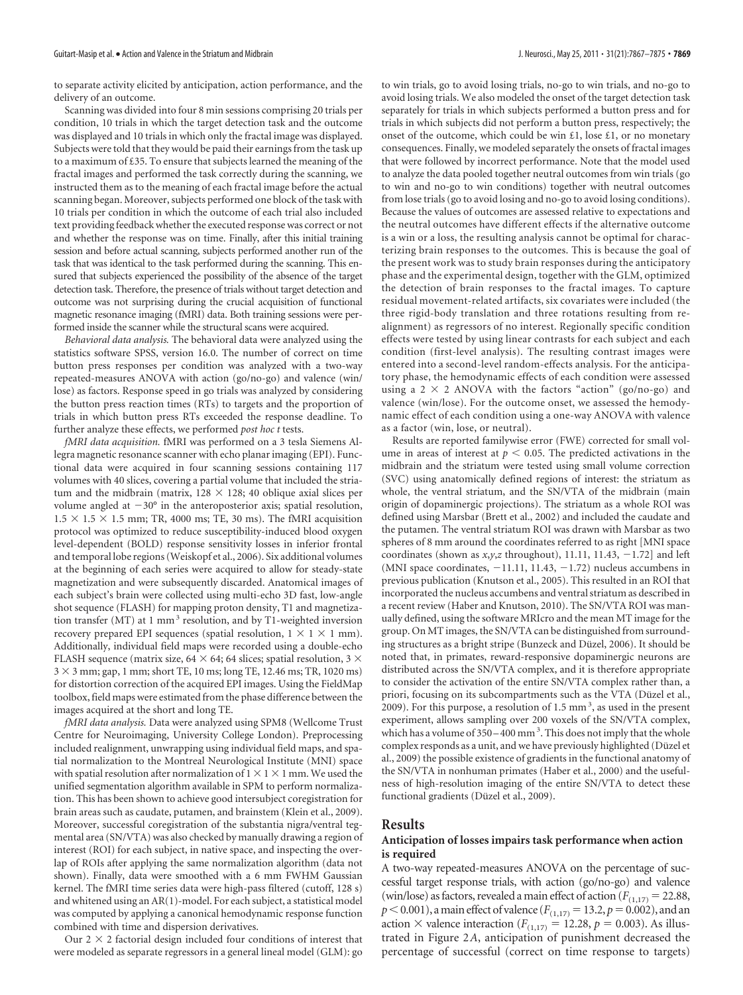to separate activity elicited by anticipation, action performance, and the delivery of an outcome.

Scanning was divided into four 8 min sessions comprising 20 trials per condition, 10 trials in which the target detection task and the outcome was displayed and 10 trials in which only the fractal image was displayed. Subjects were told that they would be paid their earnings from the task up to a maximum of £35. To ensure that subjects learned the meaning of the fractal images and performed the task correctly during the scanning, we instructed them as to the meaning of each fractal image before the actual scanning began. Moreover, subjects performed one block of the task with 10 trials per condition in which the outcome of each trial also included text providing feedback whether the executed response was correct or not and whether the response was on time. Finally, after this initial training session and before actual scanning, subjects performed another run of the task that was identical to the task performed during the scanning. This ensured that subjects experienced the possibility of the absence of the target detection task. Therefore, the presence of trials without target detection and outcome was not surprising during the crucial acquisition of functional magnetic resonance imaging (fMRI) data. Both training sessions were performed inside the scanner while the structural scans were acquired.

*Behavioral data analysis.* The behavioral data were analyzed using the statistics software SPSS, version 16.0. The number of correct on time button press responses per condition was analyzed with a two-way repeated-measures ANOVA with action (go/no-go) and valence (win/ lose) as factors. Response speed in go trials was analyzed by considering the button press reaction times (RTs) to targets and the proportion of trials in which button press RTs exceeded the response deadline. To further analyze these effects, we performed *post hoc t* tests.

*fMRI data acquisition.* fMRI was performed on a 3 tesla Siemens Allegra magnetic resonance scanner with echo planar imaging (EPI). Functional data were acquired in four scanning sessions containing 117 volumes with 40 slices, covering a partial volume that included the striatum and the midbrain (matrix,  $128 \times 128$ ; 40 oblique axial slices per volume angled at  $-30^{\circ}$  in the anteroposterior axis; spatial resolution,  $1.5 \times 1.5 \times 1.5$  mm; TR, 4000 ms; TE, 30 ms). The fMRI acquisition protocol was optimized to reduce susceptibility-induced blood oxygen level-dependent (BOLD) response sensitivity losses in inferior frontal and temporal lobe regions (Weiskopf et al., 2006). Six additional volumes at the beginning of each series were acquired to allow for steady-state magnetization and were subsequently discarded. Anatomical images of each subject's brain were collected using multi-echo 3D fast, low-angle shot sequence (FLASH) for mapping proton density, T1 and magnetization transfer (MT) at 1 mm<sup>3</sup> resolution, and by T1-weighted inversion recovery prepared EPI sequences (spatial resolution,  $1 \times 1 \times 1$  mm). Additionally, individual field maps were recorded using a double-echo FLASH sequence (matrix size, 64  $\times$  64; 64 slices; spatial resolution, 3  $\times$  $3 \times 3$  mm; gap, 1 mm; short TE, 10 ms; long TE, 12.46 ms; TR, 1020 ms) for distortion correction of the acquired EPI images. Using the FieldMap toolbox, field maps were estimated from the phase difference between the images acquired at the short and long TE.

*fMRI data analysis.* Data were analyzed using SPM8 (Wellcome Trust Centre for Neuroimaging, University College London). Preprocessing included realignment, unwrapping using individual field maps, and spatial normalization to the Montreal Neurological Institute (MNI) space with spatial resolution after normalization of 1  $\times$  1  $\times$  1 mm. We used the unified segmentation algorithm available in SPM to perform normalization. This has been shown to achieve good intersubject coregistration for brain areas such as caudate, putamen, and brainstem (Klein et al., 2009). Moreover, successful coregistration of the substantia nigra/ventral tegmental area (SN/VTA) was also checked by manually drawing a region of interest (ROI) for each subject, in native space, and inspecting the overlap of ROIs after applying the same normalization algorithm (data not shown). Finally, data were smoothed with a 6 mm FWHM Gaussian kernel. The fMRI time series data were high-pass filtered (cutoff, 128 s) and whitened using an AR(1)-model. For each subject, a statistical model was computed by applying a canonical hemodynamic response function combined with time and dispersion derivatives.

Our  $2 \times 2$  factorial design included four conditions of interest that were modeled as separate regressors in a general lineal model (GLM): go to win trials, go to avoid losing trials, no-go to win trials, and no-go to avoid losing trials. We also modeled the onset of the target detection task separately for trials in which subjects performed a button press and for trials in which subjects did not perform a button press, respectively; the onset of the outcome, which could be win  $\pounds1$ , lose  $\pounds1$ , or no monetary consequences. Finally, we modeled separately the onsets of fractal images that were followed by incorrect performance. Note that the model used to analyze the data pooled together neutral outcomes from win trials (go to win and no-go to win conditions) together with neutral outcomes from lose trials (go to avoid losing and no-go to avoid losing conditions). Because the values of outcomes are assessed relative to expectations and the neutral outcomes have different effects if the alternative outcome is a win or a loss, the resulting analysis cannot be optimal for characterizing brain responses to the outcomes. This is because the goal of the present work was to study brain responses during the anticipatory phase and the experimental design, together with the GLM, optimized the detection of brain responses to the fractal images. To capture residual movement-related artifacts, six covariates were included (the three rigid-body translation and three rotations resulting from realignment) as regressors of no interest. Regionally specific condition effects were tested by using linear contrasts for each subject and each condition (first-level analysis). The resulting contrast images were entered into a second-level random-effects analysis. For the anticipatory phase, the hemodynamic effects of each condition were assessed using a 2  $\times$  2 ANOVA with the factors "action" (go/no-go) and valence (win/lose). For the outcome onset, we assessed the hemodynamic effect of each condition using a one-way ANOVA with valence as a factor (win, lose, or neutral).

Results are reported familywise error (FWE) corrected for small volume in areas of interest at  $p < 0.05$ . The predicted activations in the midbrain and the striatum were tested using small volume correction (SVC) using anatomically defined regions of interest: the striatum as whole, the ventral striatum, and the SN/VTA of the midbrain (main origin of dopaminergic projections). The striatum as a whole ROI was defined using Marsbar (Brett et al., 2002) and included the caudate and the putamen. The ventral striatum ROI was drawn with Marsbar as two spheres of 8 mm around the coordinates referred to as right [MNI space coordinates (shown as  $x, y, z$  throughout), 11.11, 11.43,  $-1.72$ ] and left (MNI space coordinates,  $-11.11$ ,  $11.43$ ,  $-1.72$ ) nucleus accumbens in previous publication (Knutson et al., 2005). This resulted in an ROI that incorporated the nucleus accumbens and ventral striatum as described in a recent review (Haber and Knutson, 2010). The SN/VTA ROI was manually defined, using the software MRIcro and the mean MT image for the group. On MT images, the SN/VTA can be distinguished from surrounding structures as a bright stripe (Bunzeck and Düzel, 2006). It should be noted that, in primates, reward-responsive dopaminergic neurons are distributed across the SN/VTA complex, and it is therefore appropriate to consider the activation of the entire SN/VTA complex rather than, a priori, focusing on its subcompartments such as the VTA (Düzel et al., 2009). For this purpose, a resolution of 1.5 mm<sup>3</sup>, as used in the present experiment, allows sampling over 200 voxels of the SN/VTA complex, which has a volume of  $350-400$  mm<sup>3</sup>. This does not imply that the whole complex responds as a unit, and we have previously highlighted (Düzel et al., 2009) the possible existence of gradients in the functional anatomy of the SN/VTA in nonhuman primates (Haber et al., 2000) and the usefulness of high-resolution imaging of the entire SN/VTA to detect these functional gradients (Düzel et al., 2009).

#### **Results**

## **Anticipation of losses impairs task performance when action is required**

A two-way repeated-measures ANOVA on the percentage of successful target response trials, with action (go/no-go) and valence (win/lose) as factors, revealed a main effect of action ( $F_{(1,17)} = 22.88$ ,  $p$  < 0.001), a main effect of valence ( $F_{(1,17)} = 13.2$ ,  $p = 0.002$ ), and an action  $\times$  valence interaction ( $F_{(1,17)} = 12.28$ ,  $p = 0.003$ ). As illustrated in Figure 2*A*, anticipation of punishment decreased the percentage of successful (correct on time response to targets)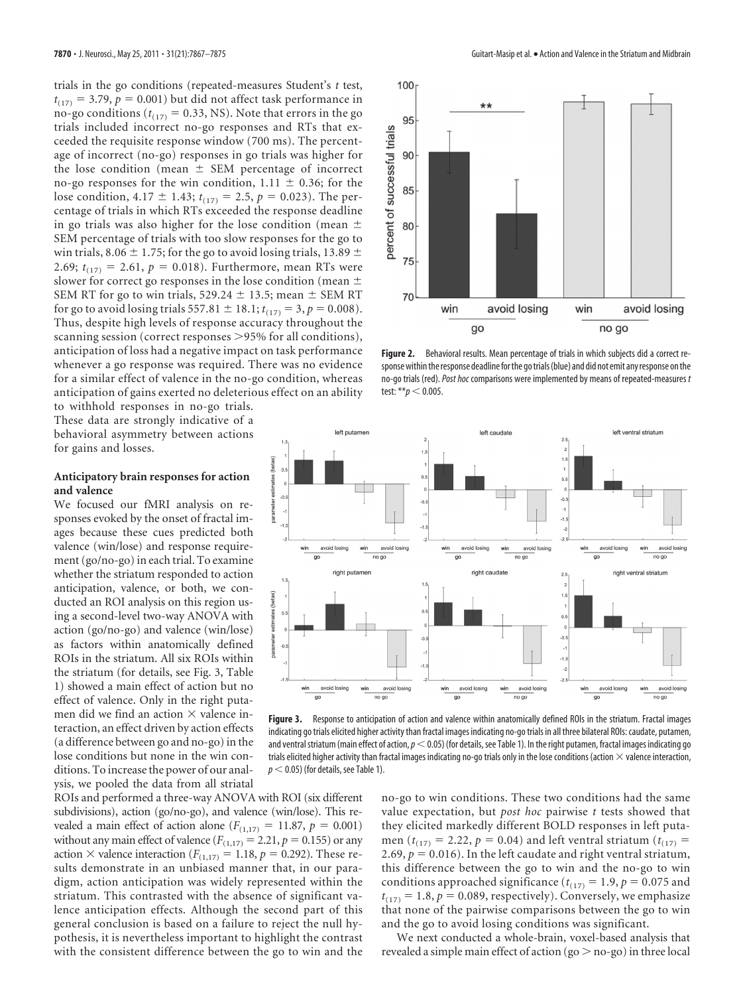trials in the go conditions (repeated-measures Student's *t* test,  $t_{(17)} = 3.79$ ,  $p = 0.001$ ) but did not affect task performance in no-go conditions ( $t_{(17)} = 0.33$ , NS). Note that errors in the go trials included incorrect no-go responses and RTs that exceeded the requisite response window (700 ms). The percentage of incorrect (no-go) responses in go trials was higher for the lose condition (mean  $\pm$  SEM percentage of incorrect no-go responses for the win condition,  $1.11 \pm 0.36$ ; for the lose condition,  $4.17 \pm 1.43$ ;  $t_{(17)} = 2.5$ ,  $p = 0.023$ ). The percentage of trials in which RTs exceeded the response deadline in go trials was also higher for the lose condition (mean  $\pm$ SEM percentage of trials with too slow responses for the go to win trials, 8.06  $\pm$  1.75; for the go to avoid losing trials, 13.89  $\pm$ 2.69;  $t_{(17)} = 2.61$ ,  $p = 0.018$ ). Furthermore, mean RTs were slower for correct go responses in the lose condition (mean  $\pm$ SEM RT for go to win trials, 529.24  $\pm$  13.5; mean  $\pm$  SEM RT for go to avoid losing trials 557.81  $\pm$  18.1;  $t_{(17)} = 3$ ,  $p = 0.008$ ). Thus, despite high levels of response accuracy throughout the scanning session (correct responses > 95% for all conditions), anticipation of loss had a negative impact on task performance whenever a go response was required. There was no evidence for a similar effect of valence in the no-go condition, whereas anticipation of gains exerted no deleterious effect on an ability to withhold responses in no-go trials.

These data are strongly indicative of a behavioral asymmetry between actions for gains and losses.

## **Anticipatory brain responses for action and valence**

We focused our fMRI analysis on responses evoked by the onset of fractal images because these cues predicted both valence (win/lose) and response requirement (go/no-go) in each trial. To examine whether the striatum responded to action anticipation, valence, or both, we conducted an ROI analysis on this region using a second-level two-way ANOVA with action (go/no-go) and valence (win/lose) as factors within anatomically defined ROIs in the striatum. All six ROIs within the striatum (for details, see Fig. 3, Table 1) showed a main effect of action but no effect of valence. Only in the right putamen did we find an action  $\times$  valence interaction, an effect driven by action effects (a difference between go and no-go) in the lose conditions but none in the win conditions. To increase the power of our analysis, we pooled the data from all striatal

ROIs and performed a three-way ANOVA with ROI (six different subdivisions), action (go/no-go), and valence (win/lose). This revealed a main effect of action alone  $(F_{(1,17)} = 11.87, p = 0.001)$ without any main effect of valence  $(F_{(1,17)} = 2.21, p = 0.155)$  or any action  $\times$  valence interaction ( $F_{(1,17)} = 1.18$ ,  $p = 0.292$ ). These results demonstrate in an unbiased manner that, in our paradigm, action anticipation was widely represented within the striatum. This contrasted with the absence of significant valence anticipation effects. Although the second part of this general conclusion is based on a failure to reject the null hypothesis, it is nevertheless important to highlight the contrast with the consistent difference between the go to win and the



**Figure 2.** Behavioral results. Mean percentage of trials in which subjects did a correct response within the response deadline for the go trials (blue) and did not emit any response on the no-go trials (red).*Post hoc* comparisons were implemented by means of repeated-measures *t* test:  $* p < 0.005$ .



**Figure 3.** Response to anticipation of action and valence within anatomically defined ROIs in the striatum. Fractal images indicating go trials elicited higher activity than fractal images indicating no-go trials in all three bilateral ROIs: caudate, putamen, and ventral striatum (main effect of action,  $p < 0.05$ ) (for details, see Table 1). In the right putamen, fractal images indicating go trials elicited higher activity than fractal images indicating no-go trials only in the lose conditions (action  $\times$  valence interaction,  $p < 0.05$ ) (for details, see Table 1).

no-go to win conditions. These two conditions had the same value expectation, but *post hoc* pairwise *t* tests showed that they elicited markedly different BOLD responses in left putamen ( $t_{(17)} = 2.22$ ,  $p = 0.04$ ) and left ventral striatum ( $t_{(17)} =$ 2.69,  $p = 0.016$ ). In the left caudate and right ventral striatum, this difference between the go to win and the no-go to win conditions approached significance ( $t_{(17)} = 1.9$ ,  $p = 0.075$  and  $t_{(17)} = 1.8$ ,  $p = 0.089$ , respectively). Conversely, we emphasize that none of the pairwise comparisons between the go to win and the go to avoid losing conditions was significant.

We next conducted a whole-brain, voxel-based analysis that revealed a simple main effect of action  $(g_0 > no-g_0)$  in three local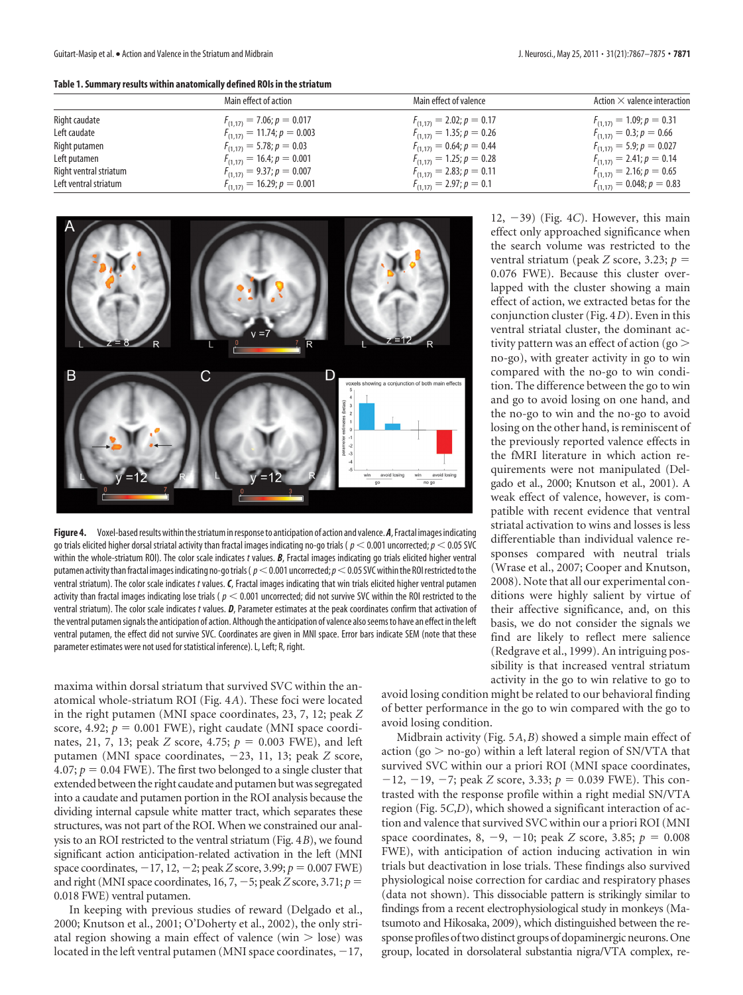| Table 1. Summary results within anatomically defined ROIs in the striatum |  |  |  |  |
|---------------------------------------------------------------------------|--|--|--|--|
|---------------------------------------------------------------------------|--|--|--|--|

|                        | Main effect of action           | Main effect of valence         | Action $\times$ valence interaction |
|------------------------|---------------------------------|--------------------------------|-------------------------------------|
| Right caudate          | $F_{(1.17)} = 7.06; p = 0.017$  | $F_{(1.17)} = 2.02; p = 0.17$  | $F_{(1.17)} = 1.09; p = 0.31$       |
| Left caudate           | $F_{(1.17)} = 11.74; p = 0.003$ | $F_{(1\,17)} = 1.35; p = 0.26$ | $F_{(1,17)} = 0.3; p = 0.66$        |
| Right putamen          | $F_{(1,17)} = 5.78; p = 0.03$   | $F_{(1.17)} = 0.64; p = 0.44$  | $F_{(1.17)} = 5.9; p = 0.027$       |
| Left putamen           | $F_{(1,17)} = 16.4; p = 0.001$  | $F_{(1.17)} = 1.25; p = 0.28$  | $F_{(1.17)} = 2.41; p = 0.14$       |
| Right ventral striatum | $F_{(1,17)} = 9.37; p = 0.007$  | $r_{(1.17)} = 2.83; p = 0.11$  | $F_{(1.17)} = 2.16; p = 0.65$       |
| Left ventral striatum  | $F_{(1,17)} = 16.29; p = 0.001$ | $F_{(1.17)} = 2.97; p = 0.1$   | $F_{(1.17)} = 0.048; p = 0.83$      |



Figure 4. Voxel-based results within the striatum in response to anticipation of action and valence. A, Fractal images indicating go trials elicited higher dorsal striatal activity than fractal images indicating no-go trials (  $p$   $<$  0.001 uncorrected;  $p$   $<$  0.05 SVC within the whole-striatum ROI). The color scale indicates *t* values. *B*, Fractal images indicating go trials elicited higher ventral putamen activity than fractal images indicating no-go trials ( $p<$  0.001 uncorrected;  $p<$  0.05 SVC within the ROI restricted to the ventral striatum). The color scale indicates *t* values. *C*, Fractal images indicating that win trials elicited higher ventral putamen activity than fractal images indicating lose trials ( $p < 0.001$  uncorrected; did not survive SVC within the ROI restricted to the ventral striatum). The color scale indicates *t* values. *D*, Parameter estimates at the peak coordinates confirm that activation of the ventral putamen signals the anticipation of action. Although the anticipation of valence also seems to have an effect in the left ventral putamen, the effect did not survive SVC. Coordinates are given in MNI space. Error bars indicate SEM (note that these parameter estimates were not used for statistical inference). L, Left; R, right.

maxima within dorsal striatum that survived SVC within the anatomical whole-striatum ROI (Fig. 4*A*). These foci were located in the right putamen (MNI space coordinates, 23, 7, 12; peak *Z* score, 4.92;  $p = 0.001$  FWE), right caudate (MNI space coordinates, 21, 7, 13; peak *Z* score, 4.75;  $p = 0.003$  FWE), and left putamen (MNI space coordinates, 23, 11, 13; peak *Z* score, 4.07;  $p = 0.04$  FWE). The first two belonged to a single cluster that extended between the right caudate and putamen but was segregated into a caudate and putamen portion in the ROI analysis because the dividing internal capsule white matter tract, which separates these structures, was not part of the ROI. When we constrained our analysis to an ROI restricted to the ventral striatum (Fig. 4*B*), we found significant action anticipation-related activation in the left (MNI space coordinates,  $-17$ ,  $12$ ,  $-2$ ; peak *Z* score, 3.99;  $p = 0.007$  FWE) and right (MNI space coordinates, 16, 7,  $-5$ ; peak *Z* score, 3.71;  $p =$ 0.018 FWE) ventral putamen.

In keeping with previous studies of reward (Delgado et al., 2000; Knutson et al., 2001; O'Doherty et al., 2002), the only striatal region showing a main effect of valence (win  $>$  lose) was located in the left ventral putamen (MNI space coordinates,  $-17$ , 12,  $-39$ ) (Fig. 4*C*). However, this main effect only approached significance when the search volume was restricted to the ventral striatum (peak *Z* score, 3.23; *p* 0.076 FWE). Because this cluster overlapped with the cluster showing a main effect of action, we extracted betas for the conjunction cluster (Fig. 4*D*). Even in this ventral striatal cluster, the dominant activity pattern was an effect of action (go no-go), with greater activity in go to win compared with the no-go to win condition. The difference between the go to win and go to avoid losing on one hand, and the no-go to win and the no-go to avoid losing on the other hand, is reminiscent of the previously reported valence effects in the fMRI literature in which action requirements were not manipulated (Delgado et al., 2000; Knutson et al., 2001). A weak effect of valence, however, is compatible with recent evidence that ventral striatal activation to wins and losses is less differentiable than individual valence responses compared with neutral trials (Wrase et al., 2007; Cooper and Knutson, 2008). Note that all our experimental conditions were highly salient by virtue of their affective significance, and, on this basis, we do not consider the signals we find are likely to reflect mere salience (Redgrave et al., 1999). An intriguing possibility is that increased ventral striatum activity in the go to win relative to go to

avoid losing condition might be related to our behavioral finding of better performance in the go to win compared with the go to avoid losing condition.

Midbrain activity (Fig. 5*A*,*B*) showed a simple main effect of action (go  $>$  no-go) within a left lateral region of SN/VTA that survived SVC within our a priori ROI (MNI space coordinates,  $-12, -19, -7$ ; peak *Z* score, 3.33;  $p = 0.039$  FWE). This contrasted with the response profile within a right medial SN/VTA region (Fig. 5*C*,*D*), which showed a significant interaction of action and valence that survived SVC within our a priori ROI (MNI space coordinates, 8, -9, -10; peak *Z* score, 3.85;  $p = 0.008$ FWE), with anticipation of action inducing activation in win trials but deactivation in lose trials. These findings also survived physiological noise correction for cardiac and respiratory phases (data not shown). This dissociable pattern is strikingly similar to findings from a recent electrophysiological study in monkeys (Matsumoto and Hikosaka, 2009), which distinguished between the response profiles of two distinct groups of dopaminergic neurons.One group, located in dorsolateral substantia nigra/VTA complex, re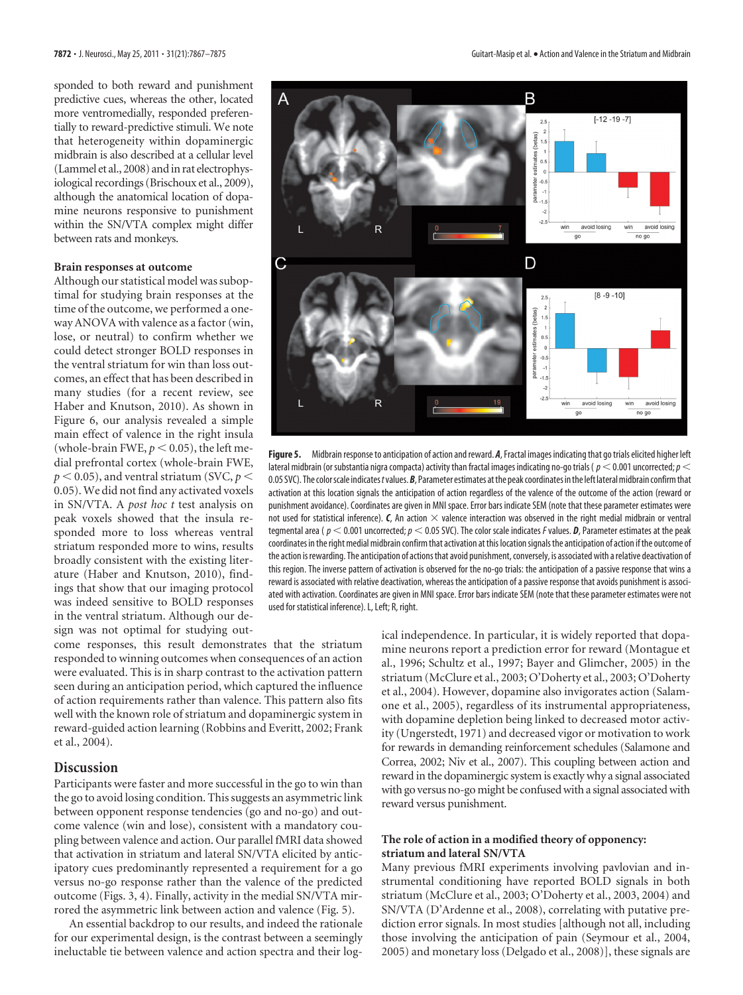sponded to both reward and punishment predictive cues, whereas the other, located more ventromedially, responded preferentially to reward-predictive stimuli. We note that heterogeneity within dopaminergic midbrain is also described at a cellular level (Lammel et al., 2008) and in rat electrophysiological recordings (Brischoux et al., 2009), although the anatomical location of dopamine neurons responsive to punishment within the SN/VTA complex might differ between rats and monkeys.

## **Brain responses at outcome**

Although our statistical model was suboptimal for studying brain responses at the time of the outcome, we performed a oneway ANOVA with valence as a factor (win, lose, or neutral) to confirm whether we could detect stronger BOLD responses in the ventral striatum for win than loss outcomes, an effect that has been described in many studies (for a recent review, see Haber and Knutson, 2010). As shown in Figure 6, our analysis revealed a simple main effect of valence in the right insula (whole-brain FWE,  $p < 0.05$ ), the left medial prefrontal cortex (whole-brain FWE,  $p$  < 0.05), and ventral striatum (SVC,  $p$  < 0.05).We did not find any activated voxels in SN/VTA. A *post hoc t* test analysis on peak voxels showed that the insula responded more to loss whereas ventral striatum responded more to wins, results broadly consistent with the existing literature (Haber and Knutson, 2010), findings that show that our imaging protocol was indeed sensitive to BOLD responses in the ventral striatum. Although our design was not optimal for studying out-



**Figure 5.** Midbrain response to anticipation of action and reward. *A*, Fractal images indicating that go trials elicited higher left lateral midbrain (or substantia nigra compacta) activity than fractal images indicating no-go trials ( $p < 0.001$  uncorrected;  $p <$ 0.05 SVC). The colorscale indicates*t*values.*B*, Parameter estimates atthe peak coordinates inthe left lateralmidbrain confirmthat activation at this location signals the anticipation of action regardless of the valence of the outcome of the action (reward or punishment avoidance). Coordinates are given in MNI space. Error bars indicate SEM (note that these parameter estimates were not used for statistical inference).  $C$ , An action  $\times$  valence interaction was observed in the right medial midbrain or ventral tegmental area ( $p < 0.001$  uncorrected;  $p < 0.05$  SVC). The color scale indicates *F* values. **D**, Parameter estimates at the peak coordinates in the right medial midbrain confirm that activation at this locationsignals the anticipation of action if the outcome of the action is rewarding. The anticipation of actions that avoid punishment, conversely, is associated with a relative deactivation of this region. The inverse pattern of activation is observed for the no-go trials: the anticipation of a passive response that wins a reward is associated with relative deactivation, whereas the anticipation of a passive response that avoids punishment is associated with activation. Coordinates are given in MNI space. Error bars indicate SEM (note that these parameter estimates were not used for statistical inference). L, Left; R, right.

come responses, this result demonstrates that the striatum responded to winning outcomes when consequences of an action were evaluated. This is in sharp contrast to the activation pattern seen during an anticipation period, which captured the influence of action requirements rather than valence. This pattern also fits well with the known role of striatum and dopaminergic system in reward-guided action learning (Robbins and Everitt, 2002; Frank et al., 2004).

# **Discussion**

Participants were faster and more successful in the go to win than the go to avoid losing condition. This suggests an asymmetric link between opponent response tendencies (go and no-go) and outcome valence (win and lose), consistent with a mandatory coupling between valence and action. Our parallel fMRI data showed that activation in striatum and lateral SN/VTA elicited by anticipatory cues predominantly represented a requirement for a go versus no-go response rather than the valence of the predicted outcome (Figs. 3, 4). Finally, activity in the medial SN/VTA mirrored the asymmetric link between action and valence (Fig. 5).

An essential backdrop to our results, and indeed the rationale for our experimental design, is the contrast between a seemingly ineluctable tie between valence and action spectra and their logical independence. In particular, it is widely reported that dopamine neurons report a prediction error for reward (Montague et al., 1996; Schultz et al., 1997; Bayer and Glimcher, 2005) in the striatum (McClure et al., 2003; O'Doherty et al., 2003; O'Doherty et al., 2004). However, dopamine also invigorates action (Salamone et al., 2005), regardless of its instrumental appropriateness, with dopamine depletion being linked to decreased motor activity (Ungerstedt, 1971) and decreased vigor or motivation to work for rewards in demanding reinforcement schedules (Salamone and Correa, 2002; Niv et al., 2007). This coupling between action and reward in the dopaminergic system is exactly why a signal associated with go versus no-go might be confused with a signal associated with reward versus punishment.

## **The role of action in a modified theory of opponency: striatum and lateral SN/VTA**

Many previous fMRI experiments involving pavlovian and instrumental conditioning have reported BOLD signals in both striatum (McClure et al., 2003; O'Doherty et al., 2003, 2004) and SN/VTA (D'Ardenne et al., 2008), correlating with putative prediction error signals. In most studies [although not all, including those involving the anticipation of pain (Seymour et al., 2004, 2005) and monetary loss (Delgado et al., 2008)], these signals are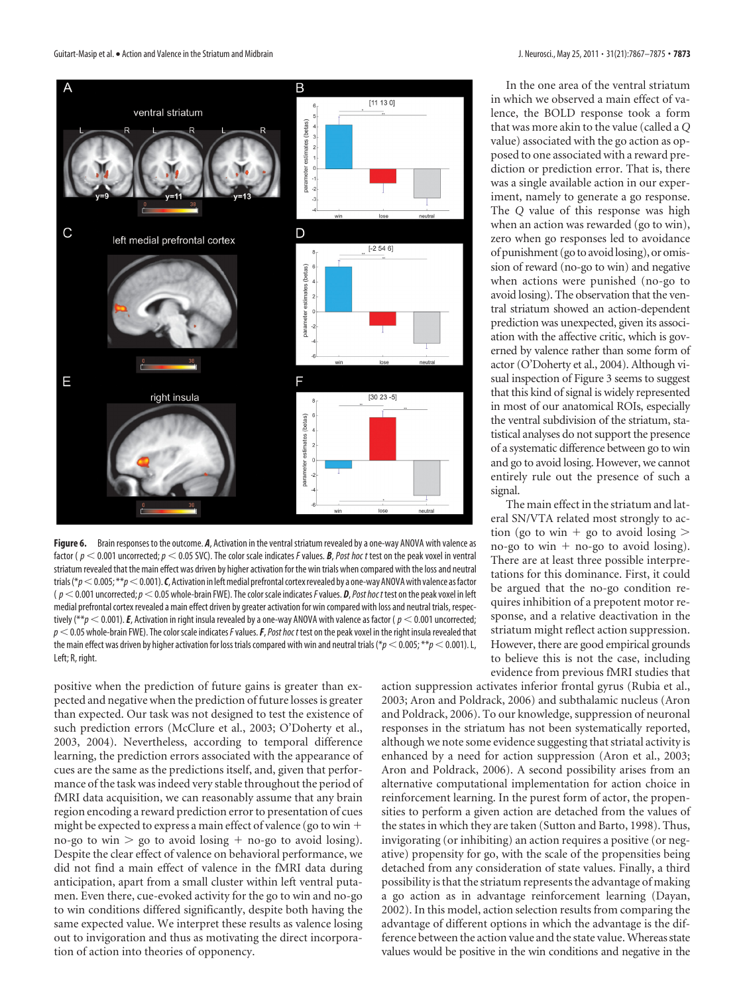

**Figure 6.** Brain responses to the outcome. *A*, Activation in the ventral striatum revealed by a one-way ANOVA with valence as factor ( $p < 0.001$  uncorrected;  $p < 0.05$  SVC). The color scale indicates *F* values. *B*, Post hoc t test on the peak voxel in ventral striatum revealed that the main effect was driven by higher activation for the win trials when compared with the loss and neutral trials (\* $p<$  0.005; \*\* $p<$  0.001). *C*, Activation in left medial prefrontal cortex revealed by a one-way ANOVA with valence as factor ( *p*0.001 uncorrected;*p*0.05 whole-brain FWE). The colorscale indicates*F*values. *D*,*Post hoc t* test on the peak voxel in left medial prefrontal cortex revealed a main effect driven by greater activation for win compared with loss and neutral trials, respectively ( $**p < 0.001$ ). E, Activation in right insula revealed by a one-way ANOVA with valence as factor ( $p < 0.001$  uncorrected; *p* 0.05 whole-brain FWE). The colorscale indicates*F*values.*F*,*Post hoc t* test on the peak voxel in the right insula revealed that the main effect was driven by higher activation for loss trials compared with win and neutral trials ( $*p$  < 0.005;  $**p$  < 0.001). L, Left; R, right.

positive when the prediction of future gains is greater than expected and negative when the prediction of future losses is greater than expected. Our task was not designed to test the existence of such prediction errors (McClure et al., 2003; O'Doherty et al., 2003, 2004). Nevertheless, according to temporal difference learning, the prediction errors associated with the appearance of cues are the same as the predictions itself, and, given that performance of the task was indeed very stable throughout the period of fMRI data acquisition, we can reasonably assume that any brain region encoding a reward prediction error to presentation of cues might be expected to express a main effect of valence (go to win  $+$ no-go to win  $>$  go to avoid losing  $+$  no-go to avoid losing). Despite the clear effect of valence on behavioral performance, we did not find a main effect of valence in the fMRI data during anticipation, apart from a small cluster within left ventral putamen. Even there, cue-evoked activity for the go to win and no-go to win conditions differed significantly, despite both having the same expected value. We interpret these results as valence losing out to invigoration and thus as motivating the direct incorporation of action into theories of opponency.

In the one area of the ventral striatum in which we observed a main effect of valence, the BOLD response took a form that was more akin to the value (called a *Q* value) associated with the go action as opposed to one associated with a reward prediction or prediction error. That is, there was a single available action in our experiment, namely to generate a go response. The *Q* value of this response was high when an action was rewarded (go to win), zero when go responses led to avoidance of punishment (go to avoidlosing), or omission of reward (no-go to win) and negative when actions were punished (no-go to avoid losing). The observation that the ventral striatum showed an action-dependent prediction was unexpected, given its association with the affective critic, which is governed by valence rather than some form of actor (O'Doherty et al., 2004). Although visual inspection of Figure 3 seems to suggest that this kind of signal is widely represented in most of our anatomical ROIs, especially the ventral subdivision of the striatum, statistical analyses do not support the presence of a systematic difference between go to win and go to avoid losing. However, we cannot entirely rule out the presence of such a signal.

The main effect in the striatum and lateral SN/VTA related most strongly to action (go to win  $+$  go to avoid losing  $>$ no-go to win  $+$  no-go to avoid losing). There are at least three possible interpretations for this dominance. First, it could be argued that the no-go condition requires inhibition of a prepotent motor response, and a relative deactivation in the striatum might reflect action suppression. However, there are good empirical grounds to believe this is not the case, including evidence from previous fMRI studies that

action suppression activates inferior frontal gyrus (Rubia et al., 2003; Aron and Poldrack, 2006) and subthalamic nucleus (Aron and Poldrack, 2006). To our knowledge, suppression of neuronal responses in the striatum has not been systematically reported, although we note some evidence suggesting that striatal activity is enhanced by a need for action suppression (Aron et al., 2003; Aron and Poldrack, 2006). A second possibility arises from an alternative computational implementation for action choice in reinforcement learning. In the purest form of actor, the propensities to perform a given action are detached from the values of the states in which they are taken (Sutton and Barto, 1998). Thus, invigorating (or inhibiting) an action requires a positive (or negative) propensity for go, with the scale of the propensities being detached from any consideration of state values. Finally, a third possibility is that the striatum represents the advantage of making a go action as in advantage reinforcement learning (Dayan, 2002). In this model, action selection results from comparing the advantage of different options in which the advantage is the difference between the action value and the state value.Whereas state values would be positive in the win conditions and negative in the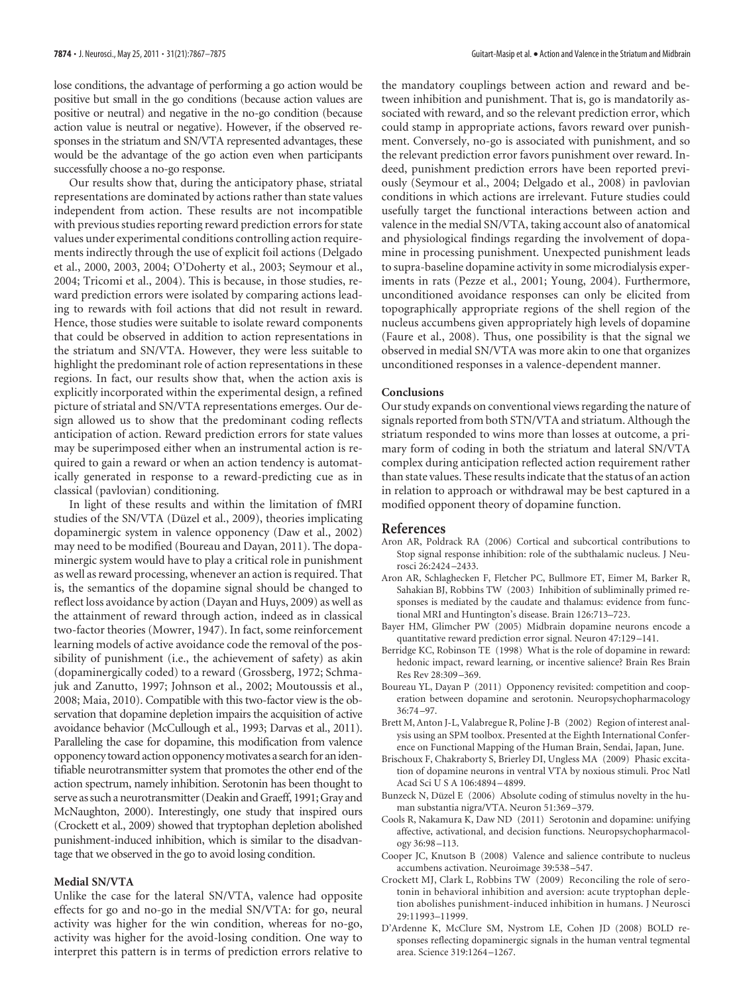lose conditions, the advantage of performing a go action would be positive but small in the go conditions (because action values are positive or neutral) and negative in the no-go condition (because action value is neutral or negative). However, if the observed responses in the striatum and SN/VTA represented advantages, these would be the advantage of the go action even when participants successfully choose a no-go response.

Our results show that, during the anticipatory phase, striatal representations are dominated by actions rather than state values independent from action. These results are not incompatible with previous studies reporting reward prediction errors for state values under experimental conditions controlling action requirements indirectly through the use of explicit foil actions (Delgado et al., 2000, 2003, 2004; O'Doherty et al., 2003; Seymour et al., 2004; Tricomi et al., 2004). This is because, in those studies, reward prediction errors were isolated by comparing actions leading to rewards with foil actions that did not result in reward. Hence, those studies were suitable to isolate reward components that could be observed in addition to action representations in the striatum and SN/VTA. However, they were less suitable to highlight the predominant role of action representations in these regions. In fact, our results show that, when the action axis is explicitly incorporated within the experimental design, a refined picture of striatal and SN/VTA representations emerges. Our design allowed us to show that the predominant coding reflects anticipation of action. Reward prediction errors for state values may be superimposed either when an instrumental action is required to gain a reward or when an action tendency is automatically generated in response to a reward-predicting cue as in classical (pavlovian) conditioning.

In light of these results and within the limitation of fMRI studies of the SN/VTA (Düzel et al., 2009), theories implicating dopaminergic system in valence opponency (Daw et al., 2002) may need to be modified (Boureau and Dayan, 2011). The dopaminergic system would have to play a critical role in punishment as well as reward processing, whenever an action is required. That is, the semantics of the dopamine signal should be changed to reflect loss avoidance by action (Dayan and Huys, 2009) as well as the attainment of reward through action, indeed as in classical two-factor theories (Mowrer, 1947). In fact, some reinforcement learning models of active avoidance code the removal of the possibility of punishment (i.e., the achievement of safety) as akin (dopaminergically coded) to a reward (Grossberg, 1972; Schmajuk and Zanutto, 1997; Johnson et al., 2002; Moutoussis et al., 2008; Maia, 2010). Compatible with this two-factor view is the observation that dopamine depletion impairs the acquisition of active avoidance behavior (McCullough et al., 1993; Darvas et al., 2011). Paralleling the case for dopamine, this modification from valence opponency toward action opponency motivates a search for an identifiable neurotransmitter system that promotes the other end of the action spectrum, namely inhibition. Serotonin has been thought to serve as such a neurotransmitter (Deakin and Graeff, 1991; Gray and McNaughton, 2000). Interestingly, one study that inspired ours (Crockett et al., 2009) showed that tryptophan depletion abolished punishment-induced inhibition, which is similar to the disadvantage that we observed in the go to avoid losing condition.

### **Medial SN/VTA**

Unlike the case for the lateral SN/VTA, valence had opposite effects for go and no-go in the medial SN/VTA: for go, neural activity was higher for the win condition, whereas for no-go, activity was higher for the avoid-losing condition. One way to interpret this pattern is in terms of prediction errors relative to the mandatory couplings between action and reward and between inhibition and punishment. That is, go is mandatorily associated with reward, and so the relevant prediction error, which could stamp in appropriate actions, favors reward over punishment. Conversely, no-go is associated with punishment, and so the relevant prediction error favors punishment over reward. Indeed, punishment prediction errors have been reported previously (Seymour et al., 2004; Delgado et al., 2008) in pavlovian conditions in which actions are irrelevant. Future studies could usefully target the functional interactions between action and valence in the medial SN/VTA, taking account also of anatomical and physiological findings regarding the involvement of dopamine in processing punishment. Unexpected punishment leads to supra-baseline dopamine activity in some microdialysis experiments in rats (Pezze et al., 2001; Young, 2004). Furthermore, unconditioned avoidance responses can only be elicited from topographically appropriate regions of the shell region of the nucleus accumbens given appropriately high levels of dopamine (Faure et al., 2008). Thus, one possibility is that the signal we observed in medial SN/VTA was more akin to one that organizes unconditioned responses in a valence-dependent manner.

#### **Conclusions**

Our study expands on conventional views regarding the nature of signals reported from both STN/VTA and striatum. Although the striatum responded to wins more than losses at outcome, a primary form of coding in both the striatum and lateral SN/VTA complex during anticipation reflected action requirement rather than state values. These results indicate that the status of an action in relation to approach or withdrawal may be best captured in a modified opponent theory of dopamine function.

#### **References**

- Aron AR, Poldrack RA (2006) Cortical and subcortical contributions to Stop signal response inhibition: role of the subthalamic nucleus. J Neurosci 26:2424 –2433.
- Aron AR, Schlaghecken F, Fletcher PC, Bullmore ET, Eimer M, Barker R, Sahakian BJ, Robbins TW (2003) Inhibition of subliminally primed responses is mediated by the caudate and thalamus: evidence from functional MRI and Huntington's disease. Brain 126:713–723.
- Bayer HM, Glimcher PW (2005) Midbrain dopamine neurons encode a quantitative reward prediction error signal. Neuron 47:129 –141.
- Berridge KC, Robinson TE (1998) What is the role of dopamine in reward: hedonic impact, reward learning, or incentive salience? Brain Res Brain Res Rev 28:309 –369.
- Boureau YL, Dayan P (2011) Opponency revisited: competition and cooperation between dopamine and serotonin. Neuropsychopharmacology 36:74 –97.
- Brett M, Anton J-L, Valabregue R, Poline J-B (2002) Region of interest analysis using an SPM toolbox. Presented at the Eighth International Conference on Functional Mapping of the Human Brain, Sendai, Japan, June.
- Brischoux F, Chakraborty S, Brierley DI, Ungless MA (2009) Phasic excitation of dopamine neurons in ventral VTA by noxious stimuli. Proc Natl Acad Sci U S A 106:4894 –4899.
- Bunzeck N, Düzel E (2006) Absolute coding of stimulus novelty in the human substantia nigra/VTA. Neuron 51:369 –379.
- Cools R, Nakamura K, Daw ND (2011) Serotonin and dopamine: unifying affective, activational, and decision functions. Neuropsychopharmacology 36:98 –113.
- Cooper JC, Knutson B (2008) Valence and salience contribute to nucleus accumbens activation. Neuroimage 39:538 –547.
- Crockett MJ, Clark L, Robbins TW (2009) Reconciling the role of serotonin in behavioral inhibition and aversion: acute tryptophan depletion abolishes punishment-induced inhibition in humans. J Neurosci 29:11993–11999.
- D'Ardenne K, McClure SM, Nystrom LE, Cohen JD (2008) BOLD responses reflecting dopaminergic signals in the human ventral tegmental area. Science 319:1264 –1267.